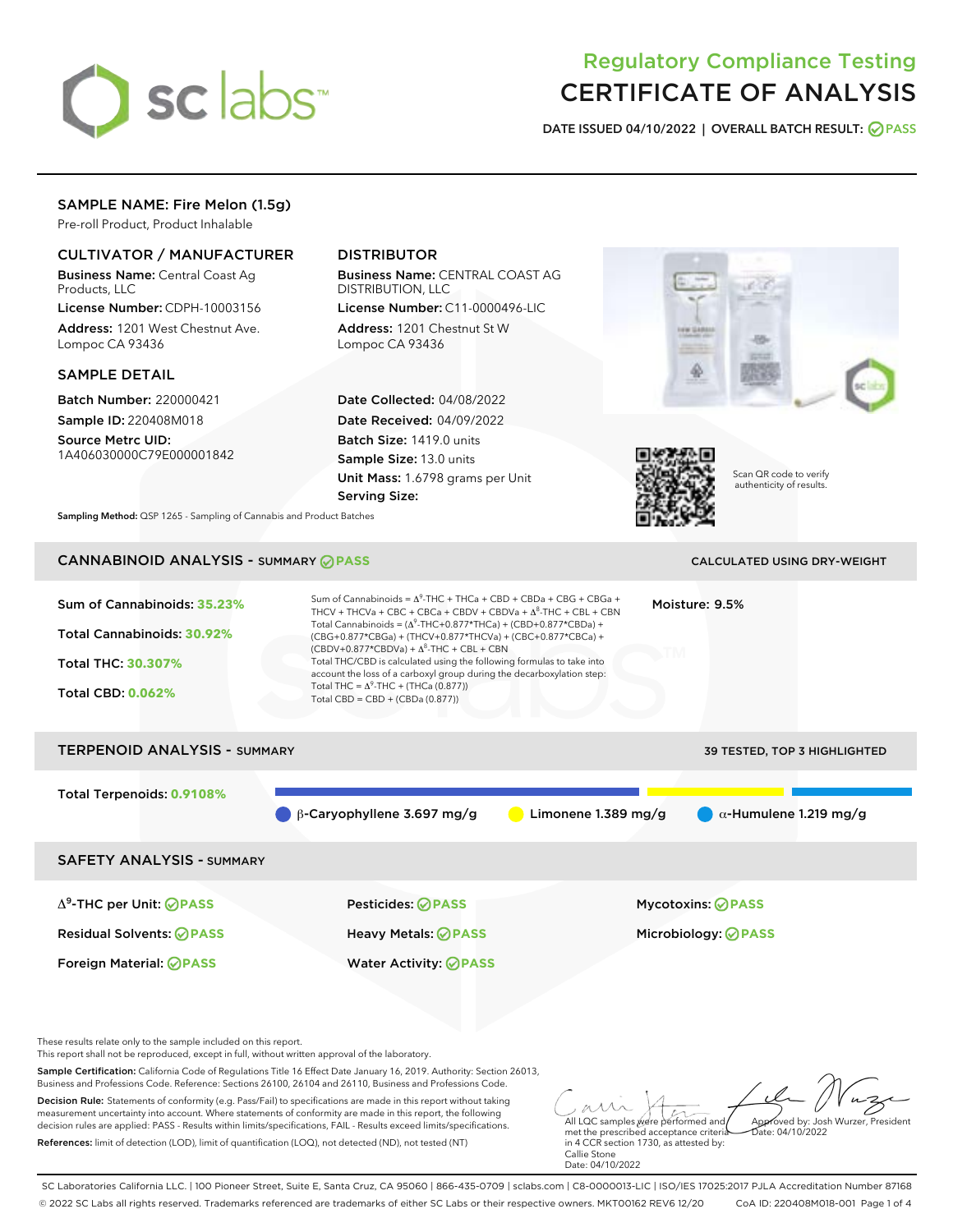

# Regulatory Compliance Testing CERTIFICATE OF ANALYSIS

DATE ISSUED 04/10/2022 | OVERALL BATCH RESULT: @ PASS

# SAMPLE NAME: Fire Melon (1.5g)

Pre-roll Product, Product Inhalable

# CULTIVATOR / MANUFACTURER

Business Name: Central Coast Ag Products, LLC

License Number: CDPH-10003156 Address: 1201 West Chestnut Ave. Lompoc CA 93436

## SAMPLE DETAIL

Batch Number: 220000421 Sample ID: 220408M018

Source Metrc UID: 1A406030000C79E000001842

# DISTRIBUTOR

Business Name: CENTRAL COAST AG DISTRIBUTION, LLC

License Number: C11-0000496-LIC Address: 1201 Chestnut St W Lompoc CA 93436

Date Collected: 04/08/2022 Date Received: 04/09/2022 Batch Size: 1419.0 units Sample Size: 13.0 units Unit Mass: 1.6798 grams per Unit Serving Size:





Scan QR code to verify authenticity of results.

Sampling Method: QSP 1265 - Sampling of Cannabis and Product Batches

# CANNABINOID ANALYSIS - SUMMARY **PASS** CALCULATED USING DRY-WEIGHT

| Sum of Cannabinoids: 35.23%<br>Total Cannabinoids: 30.92%<br>Total THC: 30.307%<br><b>Total CBD: 0.062%</b> | Sum of Cannabinoids = $\Delta^{9}$ -THC + THCa + CBD + CBDa + CBG + CBGa +<br>Moisture: 9.5%<br>THCV + THCVa + CBC + CBCa + CBDV + CBDVa + $\Delta^8$ -THC + CBL + CBN<br>Total Cannabinoids = $(\Delta^9$ -THC+0.877*THCa) + (CBD+0.877*CBDa) +<br>(CBG+0.877*CBGa) + (THCV+0.877*THCVa) + (CBC+0.877*CBCa) +<br>$(CBDV+0.877*CBDVa) + \Delta^8$ -THC + CBL + CBN<br>Total THC/CBD is calculated using the following formulas to take into<br>account the loss of a carboxyl group during the decarboxylation step:<br>Total THC = $\Delta^9$ -THC + (THCa (0.877))<br>Total CBD = CBD + (CBDa (0.877)) |                     |                                     |  |  |
|-------------------------------------------------------------------------------------------------------------|----------------------------------------------------------------------------------------------------------------------------------------------------------------------------------------------------------------------------------------------------------------------------------------------------------------------------------------------------------------------------------------------------------------------------------------------------------------------------------------------------------------------------------------------------------------------------------------------------------|---------------------|-------------------------------------|--|--|
| <b>TERPENOID ANALYSIS - SUMMARY</b>                                                                         |                                                                                                                                                                                                                                                                                                                                                                                                                                                                                                                                                                                                          |                     | <b>39 TESTED, TOP 3 HIGHLIGHTED</b> |  |  |
| Total Terpenoids: 0.9108%                                                                                   | $\beta$ -Caryophyllene 3.697 mg/g                                                                                                                                                                                                                                                                                                                                                                                                                                                                                                                                                                        | Limonene 1.389 mg/g | $\alpha$ -Humulene 1.219 mg/g       |  |  |
| <b>SAFETY ANALYSIS - SUMMARY</b>                                                                            |                                                                                                                                                                                                                                                                                                                                                                                                                                                                                                                                                                                                          |                     |                                     |  |  |
| $\Delta^9$ -THC per Unit: <b>PASS</b>                                                                       | <b>Pesticides: ⊘ PASS</b>                                                                                                                                                                                                                                                                                                                                                                                                                                                                                                                                                                                |                     | <b>Mycotoxins: ⊘PASS</b>            |  |  |
| <b>Residual Solvents: ⊘PASS</b>                                                                             | Heavy Metals: ⊘PASS                                                                                                                                                                                                                                                                                                                                                                                                                                                                                                                                                                                      |                     | Microbiology: <b>OPASS</b>          |  |  |
| Foreign Material: <b>⊘ PASS</b>                                                                             | <b>Water Activity: ⊘PASS</b>                                                                                                                                                                                                                                                                                                                                                                                                                                                                                                                                                                             |                     |                                     |  |  |

These results relate only to the sample included on this report.

This report shall not be reproduced, except in full, without written approval of the laboratory.

Sample Certification: California Code of Regulations Title 16 Effect Date January 16, 2019. Authority: Section 26013, Business and Professions Code. Reference: Sections 26100, 26104 and 26110, Business and Professions Code.

Decision Rule: Statements of conformity (e.g. Pass/Fail) to specifications are made in this report without taking measurement uncertainty into account. Where statements of conformity are made in this report, the following decision rules are applied: PASS - Results within limits/specifications, FAIL - Results exceed limits/specifications. References: limit of detection (LOD), limit of quantification (LOQ), not detected (ND), not tested (NT)

All LQC samples were performed and Approved by: Josh Wurzer, President Date: 04/10/2022

met the prescribed acceptance criteria in 4 CCR section 1730, as attested by: Callie Stone Date: 04/10/2022

SC Laboratories California LLC. | 100 Pioneer Street, Suite E, Santa Cruz, CA 95060 | 866-435-0709 | sclabs.com | C8-0000013-LIC | ISO/IES 17025:2017 PJLA Accreditation Number 87168 © 2022 SC Labs all rights reserved. Trademarks referenced are trademarks of either SC Labs or their respective owners. MKT00162 REV6 12/20 CoA ID: 220408M018-001 Page 1 of 4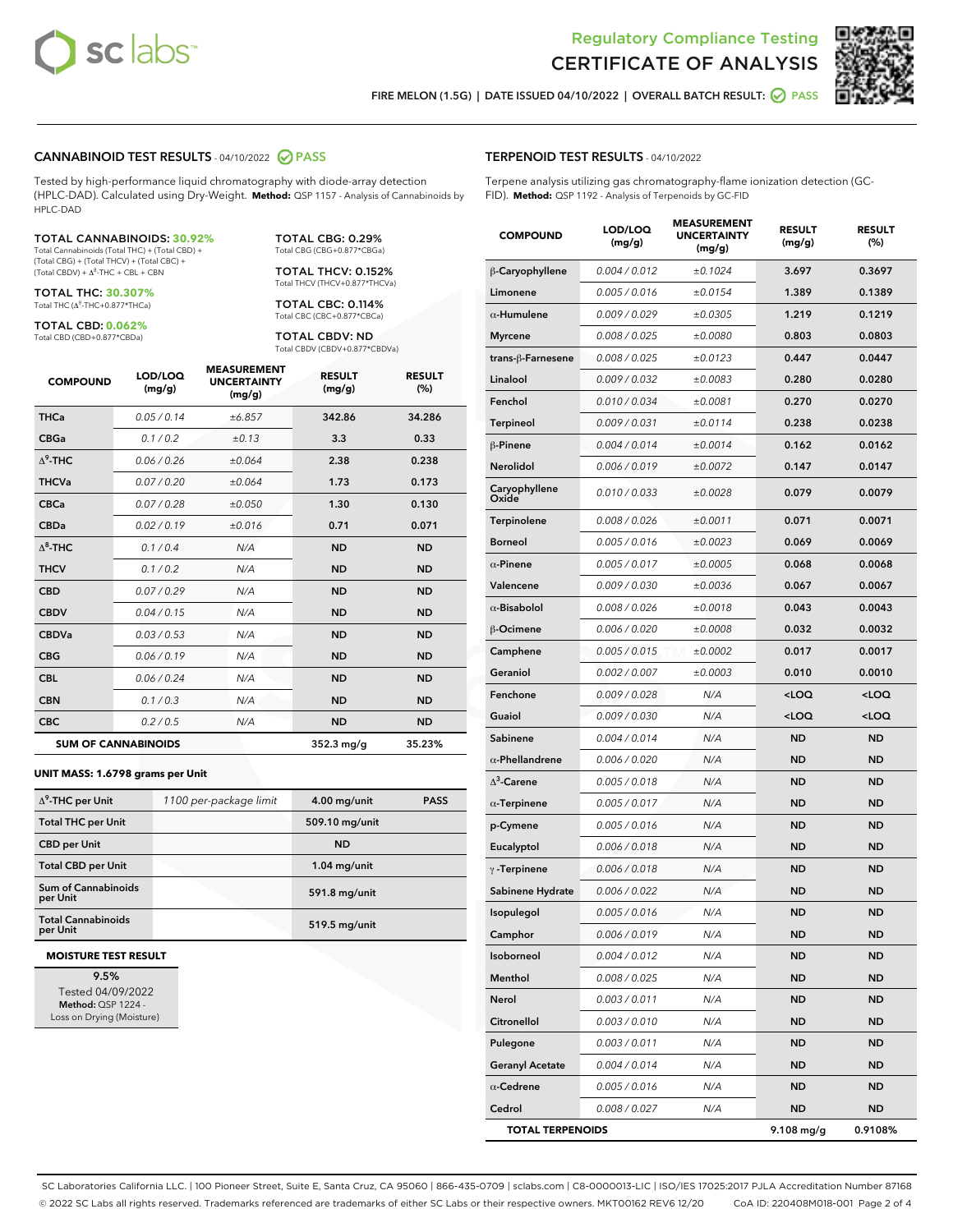



FIRE MELON (1.5G) | DATE ISSUED 04/10/2022 | OVERALL BATCH RESULT:  $\bigcirc$  PASS

## CANNABINOID TEST RESULTS - 04/10/2022 2 PASS

Tested by high-performance liquid chromatography with diode-array detection (HPLC-DAD). Calculated using Dry-Weight. **Method:** QSP 1157 - Analysis of Cannabinoids by HPLC-DAD

#### TOTAL CANNABINOIDS: **30.92%**

Total Cannabinoids (Total THC) + (Total CBD) + (Total CBG) + (Total THCV) + (Total CBC) +  $(Total$  CBDV) +  $\Delta$ <sup>8</sup>-THC + CBL + CBN

TOTAL THC: **30.307%** Total THC (Δ<sup>9</sup> -THC+0.877\*THCa)

TOTAL CBD: **0.062%**

Total CBD (CBD+0.877\*CBDa)

TOTAL CBG: 0.29% Total CBG (CBG+0.877\*CBGa)

TOTAL THCV: 0.152% Total THCV (THCV+0.877\*THCVa)

TOTAL CBC: 0.114% Total CBC (CBC+0.877\*CBCa)

TOTAL CBDV: ND Total CBDV (CBDV+0.877\*CBDVa)

| <b>COMPOUND</b>  | LOD/LOQ<br>(mg/g)          | <b>MEASUREMENT</b><br><b>UNCERTAINTY</b><br>(mg/g) | <b>RESULT</b><br>(mg/g) | <b>RESULT</b><br>(%) |
|------------------|----------------------------|----------------------------------------------------|-------------------------|----------------------|
| <b>THCa</b>      | 0.05 / 0.14                | ±6.857                                             | 342.86                  | 34.286               |
| <b>CBGa</b>      | 0.1 / 0.2                  | ±0.13                                              | 3.3                     | 0.33                 |
| $\Lambda^9$ -THC | 0.06 / 0.26                | ±0.064                                             | 2.38                    | 0.238                |
| <b>THCVa</b>     | 0.07/0.20                  | ±0.064                                             | 1.73                    | 0.173                |
| <b>CBCa</b>      | 0.07/0.28                  | ±0.050                                             | 1.30                    | 0.130                |
| <b>CBDa</b>      | 0.02 / 0.19                | ±0.016                                             | 0.71                    | 0.071                |
| $\Lambda^8$ -THC | 0.1 / 0.4                  | N/A                                                | <b>ND</b>               | <b>ND</b>            |
| <b>THCV</b>      | 0.1/0.2                    | N/A                                                | <b>ND</b>               | <b>ND</b>            |
| <b>CBD</b>       | 0.07/0.29                  | N/A                                                | <b>ND</b>               | <b>ND</b>            |
| <b>CBDV</b>      | 0.04/0.15                  | N/A                                                | <b>ND</b>               | <b>ND</b>            |
| <b>CBDVa</b>     | 0.03 / 0.53                | N/A                                                | <b>ND</b>               | <b>ND</b>            |
| <b>CBG</b>       | 0.06/0.19                  | N/A                                                | <b>ND</b>               | <b>ND</b>            |
| <b>CBL</b>       | 0.06 / 0.24                | N/A                                                | <b>ND</b>               | <b>ND</b>            |
| <b>CBN</b>       | 0.1/0.3                    | N/A                                                | <b>ND</b>               | <b>ND</b>            |
| <b>CBC</b>       | 0.2 / 0.5                  | N/A                                                | <b>ND</b>               | <b>ND</b>            |
|                  | <b>SUM OF CANNABINOIDS</b> |                                                    | $352.3$ mg/g            | 35.23%               |

#### **UNIT MASS: 1.6798 grams per Unit**

| $\Delta^9$ -THC per Unit               | 1100 per-package limit | $4.00$ mg/unit | <b>PASS</b> |
|----------------------------------------|------------------------|----------------|-------------|
| <b>Total THC per Unit</b>              |                        | 509.10 mg/unit |             |
| <b>CBD per Unit</b>                    |                        | <b>ND</b>      |             |
| <b>Total CBD per Unit</b>              |                        | $1.04$ mg/unit |             |
| <b>Sum of Cannabinoids</b><br>per Unit |                        | 591.8 mg/unit  |             |
| <b>Total Cannabinoids</b><br>per Unit  |                        | 519.5 mg/unit  |             |

#### **MOISTURE TEST RESULT**

9.5% Tested 04/09/2022 Method: QSP 1224 - Loss on Drying (Moisture)

## TERPENOID TEST RESULTS - 04/10/2022

Terpene analysis utilizing gas chromatography-flame ionization detection (GC-FID). **Method:** QSP 1192 - Analysis of Terpenoids by GC-FID

| <b>COMPOUND</b>         | LOD/LOQ<br>(mg/g) | <b>MEASUREMENT</b><br><b>UNCERTAINTY</b><br>(mg/g) | <b>RESULT</b><br>(mg/g)                         | <b>RESULT</b><br>$(\%)$ |
|-------------------------|-------------------|----------------------------------------------------|-------------------------------------------------|-------------------------|
| β-Caryophyllene         | 0.004 / 0.012     | ±0.1024                                            | 3.697                                           | 0.3697                  |
| Limonene                | 0.005 / 0.016     | ±0.0154                                            | 1.389                                           | 0.1389                  |
| $\alpha$ -Humulene      | 0.009 / 0.029     | ±0.0305                                            | 1.219                                           | 0.1219                  |
| <b>Myrcene</b>          | 0.008 / 0.025     | ±0.0080                                            | 0.803                                           | 0.0803                  |
| trans-β-Farnesene       | 0.008 / 0.025     | ±0.0123                                            | 0.447                                           | 0.0447                  |
| Linalool                | 0.009/0.032       | ±0.0083                                            | 0.280                                           | 0.0280                  |
| Fenchol                 | 0.010 / 0.034     | ±0.0081                                            | 0.270                                           | 0.0270                  |
| Terpineol               | 0.009 / 0.031     | ±0.0114                                            | 0.238                                           | 0.0238                  |
| β-Pinene                | 0.004 / 0.014     | ±0.0014                                            | 0.162                                           | 0.0162                  |
| Nerolidol               | 0.006 / 0.019     | ±0.0072                                            | 0.147                                           | 0.0147                  |
| Caryophyllene<br>Oxide  | 0.010 / 0.033     | ±0.0028                                            | 0.079                                           | 0.0079                  |
| Terpinolene             | 0.008 / 0.026     | ±0.0011                                            | 0.071                                           | 0.0071                  |
| <b>Borneol</b>          | 0.005 / 0.016     | ±0.0023                                            | 0.069                                           | 0.0069                  |
| $\alpha$ -Pinene        | 0.005 / 0.017     | ±0.0005                                            | 0.068                                           | 0.0068                  |
| Valencene               | 0.009 / 0.030     | ±0.0036                                            | 0.067                                           | 0.0067                  |
| $\alpha$ -Bisabolol     | 0.008 / 0.026     | ±0.0018                                            | 0.043                                           | 0.0043                  |
| <b>B-Ocimene</b>        | 0.006 / 0.020     | ±0.0008                                            | 0.032                                           | 0.0032                  |
| Camphene                | 0.005 / 0.015     | ±0.0002                                            | 0.017                                           | 0.0017                  |
| Geraniol                | 0.002 / 0.007     | ±0.0003                                            | 0.010                                           | 0.0010                  |
| Fenchone                | 0.009 / 0.028     | N/A                                                | <loq< th=""><th><loq< th=""></loq<></th></loq<> | <loq< th=""></loq<>     |
| Guaiol                  | 0.009 / 0.030     | N/A                                                | <loq< th=""><th><loq< th=""></loq<></th></loq<> | <loq< th=""></loq<>     |
| Sabinene                | 0.004 / 0.014     | N/A                                                | <b>ND</b>                                       | <b>ND</b>               |
| $\alpha$ -Phellandrene  | 0.006 / 0.020     | N/A                                                | ND                                              | <b>ND</b>               |
| $\Delta^3$ -Carene      | 0.005 / 0.018     | N/A                                                | <b>ND</b>                                       | <b>ND</b>               |
| $\alpha$ -Terpinene     | 0.005 / 0.017     | N/A                                                | ND                                              | <b>ND</b>               |
| p-Cymene                | 0.005 / 0.016     | N/A                                                | ND                                              | <b>ND</b>               |
| Eucalyptol              | 0.006 / 0.018     | N/A                                                | ND                                              | <b>ND</b>               |
| $\gamma$ -Terpinene     | 0.006 / 0.018     | N/A                                                | ND                                              | <b>ND</b>               |
| Sabinene Hydrate        | 0.006 / 0.022     | N/A                                                | <b>ND</b>                                       | <b>ND</b>               |
| Isopulegol              | 0.005 / 0.016     | N/A                                                | <b>ND</b>                                       | <b>ND</b>               |
| Camphor                 | 0.006 / 0.019     | N/A                                                | ND                                              | ND                      |
| Isoborneol              | 0.004 / 0.012     | N/A                                                | ND                                              | ND                      |
| Menthol                 | 0.008 / 0.025     | N/A                                                | ND                                              | ND                      |
| Nerol                   | 0.003 / 0.011     | N/A                                                | ND                                              | ND                      |
| Citronellol             | 0.003 / 0.010     | N/A                                                | ND                                              | ND                      |
| Pulegone                | 0.003 / 0.011     | N/A                                                | ND                                              | ND                      |
| <b>Geranyl Acetate</b>  | 0.004 / 0.014     | N/A                                                | ND                                              | ND                      |
| $\alpha$ -Cedrene       | 0.005 / 0.016     | N/A                                                | ND                                              | ND                      |
| Cedrol                  | 0.008 / 0.027     | N/A                                                | ND                                              | <b>ND</b>               |
| <b>TOTAL TERPENOIDS</b> |                   |                                                    | 9.108 mg/g                                      | 0.9108%                 |

SC Laboratories California LLC. | 100 Pioneer Street, Suite E, Santa Cruz, CA 95060 | 866-435-0709 | sclabs.com | C8-0000013-LIC | ISO/IES 17025:2017 PJLA Accreditation Number 87168 © 2022 SC Labs all rights reserved. Trademarks referenced are trademarks of either SC Labs or their respective owners. MKT00162 REV6 12/20 CoA ID: 220408M018-001 Page 2 of 4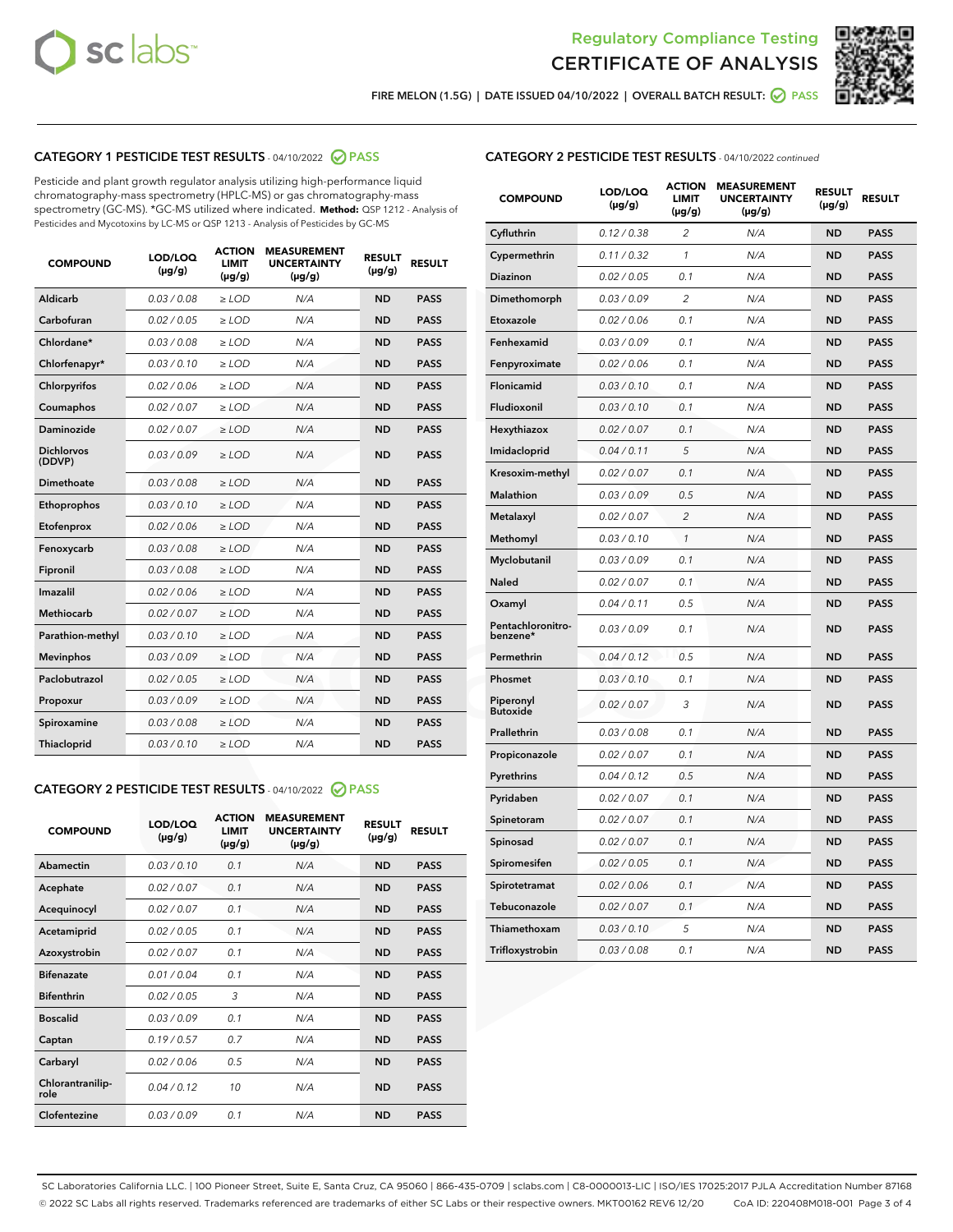



FIRE MELON (1.5G) | DATE ISSUED 04/10/2022 | OVERALL BATCH RESULT:  $\bigcirc$  PASS

# CATEGORY 1 PESTICIDE TEST RESULTS - 04/10/2022 2 PASS

Pesticide and plant growth regulator analysis utilizing high-performance liquid chromatography-mass spectrometry (HPLC-MS) or gas chromatography-mass spectrometry (GC-MS). \*GC-MS utilized where indicated. **Method:** QSP 1212 - Analysis of Pesticides and Mycotoxins by LC-MS or QSP 1213 - Analysis of Pesticides by GC-MS

| 0.03 / 0.08<br>Aldicarb<br>$\ge$ LOD<br>N/A<br><b>ND</b><br>Carbofuran<br>0.02/0.05<br>$>$ LOD<br>N/A<br><b>ND</b> | <b>PASS</b><br><b>PASS</b> |
|--------------------------------------------------------------------------------------------------------------------|----------------------------|
|                                                                                                                    |                            |
|                                                                                                                    |                            |
| Chlordane*<br>0.03 / 0.08<br>N/A<br><b>ND</b><br>$\ge$ LOD                                                         | <b>PASS</b>                |
| 0.03/0.10<br><b>ND</b><br>Chlorfenapyr*<br>$\ge$ LOD<br>N/A                                                        | <b>PASS</b>                |
| 0.02/0.06<br>N/A<br><b>ND</b><br>Chlorpyrifos<br>$\ge$ LOD                                                         | <b>PASS</b>                |
| Coumaphos<br>0.02 / 0.07<br>$\geq$ LOD<br>N/A<br><b>ND</b>                                                         | <b>PASS</b>                |
| Daminozide<br>0.02 / 0.07<br>$>$ LOD<br>N/A<br><b>ND</b>                                                           | <b>PASS</b>                |
| <b>Dichlorvos</b><br>0.03 / 0.09<br>N/A<br>$\ge$ LOD<br><b>ND</b><br>(DDVP)                                        | <b>PASS</b>                |
| Dimethoate<br>0.03/0.08<br>N/A<br><b>ND</b><br>$>$ LOD                                                             | <b>PASS</b>                |
| 0.03/0.10<br><b>ND</b><br>Ethoprophos<br>$>$ LOD<br>N/A                                                            | <b>PASS</b>                |
| 0.02 / 0.06<br>N/A<br><b>ND</b><br>Etofenprox<br>$\ge$ LOD                                                         | <b>PASS</b>                |
| 0.03 / 0.08<br>N/A<br><b>ND</b><br>Fenoxycarb<br>$\ge$ LOD                                                         | <b>PASS</b>                |
| 0.03 / 0.08<br>$\ge$ LOD<br>N/A<br><b>ND</b><br>Fipronil                                                           | <b>PASS</b>                |
| Imazalil<br>0.02 / 0.06<br>$>$ LOD<br>N/A<br><b>ND</b>                                                             | <b>PASS</b>                |
| <b>Methiocarb</b><br>0.02 / 0.07<br>$\ge$ LOD<br>N/A<br><b>ND</b>                                                  | <b>PASS</b>                |
| N/A<br><b>ND</b><br>Parathion-methyl<br>0.03/0.10<br>$\ge$ LOD                                                     | <b>PASS</b>                |
| 0.03/0.09<br>$\ge$ LOD<br>N/A<br><b>ND</b><br><b>Mevinphos</b>                                                     | <b>PASS</b>                |
| Paclobutrazol<br>0.02 / 0.05<br>$\ge$ LOD<br>N/A<br><b>ND</b>                                                      | <b>PASS</b>                |
| 0.03/0.09<br>$>$ LOD<br>N/A<br><b>ND</b><br>Propoxur                                                               | <b>PASS</b>                |
| 0.03 / 0.08<br>N/A<br><b>ND</b><br>Spiroxamine<br>$\ge$ LOD                                                        | <b>PASS</b>                |
| <b>ND</b><br>Thiacloprid<br>0.03/0.10<br>$>$ LOD<br>N/A                                                            | <b>PASS</b>                |

# CATEGORY 2 PESTICIDE TEST RESULTS - 04/10/2022 @ PASS

| <b>COMPOUND</b>          | LOD/LOQ<br>$(\mu g/g)$ | <b>ACTION</b><br><b>LIMIT</b><br>$(\mu g/g)$ | <b>MEASUREMENT</b><br><b>UNCERTAINTY</b><br>$(\mu g/g)$ | <b>RESULT</b><br>$(\mu g/g)$ | <b>RESULT</b> |
|--------------------------|------------------------|----------------------------------------------|---------------------------------------------------------|------------------------------|---------------|
| Abamectin                | 0.03/0.10              | 0.1                                          | N/A                                                     | <b>ND</b>                    | <b>PASS</b>   |
| Acephate                 | 0.02/0.07              | 0.1                                          | N/A                                                     | <b>ND</b>                    | <b>PASS</b>   |
| Acequinocyl              | 0.02/0.07              | 0.1                                          | N/A                                                     | <b>ND</b>                    | <b>PASS</b>   |
| Acetamiprid              | 0.02/0.05              | 0.1                                          | N/A                                                     | <b>ND</b>                    | <b>PASS</b>   |
| Azoxystrobin             | 0.02 / 0.07            | 0.1                                          | N/A                                                     | <b>ND</b>                    | <b>PASS</b>   |
| <b>Bifenazate</b>        | 0.01/0.04              | 0.1                                          | N/A                                                     | <b>ND</b>                    | <b>PASS</b>   |
| <b>Bifenthrin</b>        | 0.02 / 0.05            | 3                                            | N/A                                                     | <b>ND</b>                    | <b>PASS</b>   |
| <b>Boscalid</b>          | 0.03/0.09              | 0.1                                          | N/A                                                     | <b>ND</b>                    | <b>PASS</b>   |
| Captan                   | 0.19/0.57              | 0.7                                          | N/A                                                     | <b>ND</b>                    | <b>PASS</b>   |
| Carbaryl                 | 0.02/0.06              | 0.5                                          | N/A                                                     | <b>ND</b>                    | <b>PASS</b>   |
| Chlorantranilip-<br>role | 0.04/0.12              | 10                                           | N/A                                                     | <b>ND</b>                    | <b>PASS</b>   |
| Clofentezine             | 0.03/0.09              | 0.1                                          | N/A                                                     | <b>ND</b>                    | <b>PASS</b>   |

# CATEGORY 2 PESTICIDE TEST RESULTS - 04/10/2022 continued

| <b>COMPOUND</b>               | LOD/LOQ<br>(µg/g) | <b>ACTION</b><br><b>LIMIT</b><br>(µg/g) | <b>MEASUREMENT</b><br><b>UNCERTAINTY</b><br>(µg/g) | <b>RESULT</b><br>(µg/g) | <b>RESULT</b> |
|-------------------------------|-------------------|-----------------------------------------|----------------------------------------------------|-------------------------|---------------|
| Cyfluthrin                    | 0.12 / 0.38       | $\overline{c}$                          | N/A                                                | <b>ND</b>               | <b>PASS</b>   |
| Cypermethrin                  | 0.11 / 0.32       | $\mathcal{I}$                           | N/A                                                | <b>ND</b>               | <b>PASS</b>   |
| <b>Diazinon</b>               | 0.02 / 0.05       | 0.1                                     | N/A                                                | <b>ND</b>               | <b>PASS</b>   |
| Dimethomorph                  | 0.03 / 0.09       | 2                                       | N/A                                                | <b>ND</b>               | <b>PASS</b>   |
| Etoxazole                     | 0.02 / 0.06       | 0.1                                     | N/A                                                | <b>ND</b>               | <b>PASS</b>   |
| Fenhexamid                    | 0.03 / 0.09       | 0.1                                     | N/A                                                | <b>ND</b>               | <b>PASS</b>   |
| Fenpyroximate                 | 0.02 / 0.06       | 0.1                                     | N/A                                                | <b>ND</b>               | <b>PASS</b>   |
| Flonicamid                    | 0.03 / 0.10       | 0.1                                     | N/A                                                | <b>ND</b>               | <b>PASS</b>   |
| Fludioxonil                   | 0.03 / 0.10       | 0.1                                     | N/A                                                | <b>ND</b>               | <b>PASS</b>   |
| Hexythiazox                   | 0.02 / 0.07       | 0.1                                     | N/A                                                | <b>ND</b>               | <b>PASS</b>   |
| Imidacloprid                  | 0.04 / 0.11       | 5                                       | N/A                                                | <b>ND</b>               | <b>PASS</b>   |
| Kresoxim-methyl               | 0.02 / 0.07       | 0.1                                     | N/A                                                | <b>ND</b>               | <b>PASS</b>   |
| <b>Malathion</b>              | 0.03 / 0.09       | 0.5                                     | N/A                                                | <b>ND</b>               | <b>PASS</b>   |
| Metalaxyl                     | 0.02 / 0.07       | $\overline{c}$                          | N/A                                                | <b>ND</b>               | <b>PASS</b>   |
| Methomyl                      | 0.03 / 0.10       | 1                                       | N/A                                                | <b>ND</b>               | <b>PASS</b>   |
| Myclobutanil                  | 0.03 / 0.09       | 0.1                                     | N/A                                                | <b>ND</b>               | <b>PASS</b>   |
| Naled                         | 0.02 / 0.07       | 0.1                                     | N/A                                                | <b>ND</b>               | <b>PASS</b>   |
| Oxamyl                        | 0.04 / 0.11       | 0.5                                     | N/A                                                | <b>ND</b>               | <b>PASS</b>   |
| Pentachloronitro-<br>benzene* | 0.03/0.09         | 0.1                                     | N/A                                                | <b>ND</b>               | <b>PASS</b>   |
| Permethrin                    | 0.04 / 0.12       | 0.5                                     | N/A                                                | <b>ND</b>               | <b>PASS</b>   |
| Phosmet                       | 0.03 / 0.10       | 0.1                                     | N/A                                                | <b>ND</b>               | <b>PASS</b>   |
| Piperonyl<br><b>Butoxide</b>  | 0.02 / 0.07       | 3                                       | N/A                                                | <b>ND</b>               | <b>PASS</b>   |
| Prallethrin                   | 0.03 / 0.08       | 0.1                                     | N/A                                                | <b>ND</b>               | <b>PASS</b>   |
| Propiconazole                 | 0.02 / 0.07       | 0.1                                     | N/A                                                | <b>ND</b>               | <b>PASS</b>   |
| Pyrethrins                    | 0.04 / 0.12       | 0.5                                     | N/A                                                | <b>ND</b>               | <b>PASS</b>   |
| Pyridaben                     | 0.02 / 0.07       | 0.1                                     | N/A                                                | <b>ND</b>               | <b>PASS</b>   |
| Spinetoram                    | 0.02 / 0.07       | 0.1                                     | N/A                                                | <b>ND</b>               | <b>PASS</b>   |
| Spinosad                      | 0.02 / 0.07       | 0.1                                     | N/A                                                | <b>ND</b>               | <b>PASS</b>   |
| Spiromesifen                  | 0.02 / 0.05       | 0.1                                     | N/A                                                | <b>ND</b>               | <b>PASS</b>   |
| Spirotetramat                 | 0.02 / 0.06       | 0.1                                     | N/A                                                | <b>ND</b>               | <b>PASS</b>   |
| Tebuconazole                  | 0.02 / 0.07       | 0.1                                     | N/A                                                | <b>ND</b>               | <b>PASS</b>   |
| Thiamethoxam                  | 0.03 / 0.10       | 5                                       | N/A                                                | <b>ND</b>               | <b>PASS</b>   |
| Trifloxystrobin               | 0.03 / 0.08       | 0.1                                     | N/A                                                | <b>ND</b>               | <b>PASS</b>   |

SC Laboratories California LLC. | 100 Pioneer Street, Suite E, Santa Cruz, CA 95060 | 866-435-0709 | sclabs.com | C8-0000013-LIC | ISO/IES 17025:2017 PJLA Accreditation Number 87168 © 2022 SC Labs all rights reserved. Trademarks referenced are trademarks of either SC Labs or their respective owners. MKT00162 REV6 12/20 CoA ID: 220408M018-001 Page 3 of 4